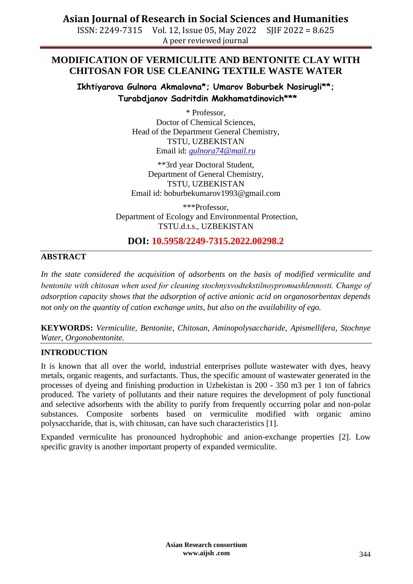ISSN: 2249-7315 Vol. 12, Issue 05, May 2022 SJIF 2022 = 8.625 A peer reviewed journal

## **MODIFICATION OF VERMICULITE AND BENTONITE CLAY WITH CHITOSAN FOR USE CLEANING TEXTILE WASTE WATER**

**Ikhtiyarova Gulnora Akmalovna\*; Umarov Boburbek Nosirugli\*\*; Turabdjanov Sadritdin Makhamatdinovich\*\*\***

> \* Professor, Doctor of Chemical Sciences, Head of the Department General Chemistry, TSTU, UZBEKISTAN Email id: *[gulnora74@mail.ru](mailto:gulnora74@mail.ru)*

\*\*3rd year Doctoral Student, Department of General Chemistry, TSTU, UZBEKISTAN Email id: boburbekumarov1993@gmail.com

\*\*\*Professor, Department of Ecology and Environmental Protection, TSTU.d.t.s., UZBEKISTAN

## **DOI: 10.5958/2249-7315.2022.00298.2**

### **ABSTRACT**

*In the state considered the acquisition of adsorbents on the basis of modified vermiculite and bentonite with chitosan when used for cleaning stochnyxvodtekstilnoypromыshlennosti. Change of adsorption capacity shows that the adsorption of active anionic acid on organosorbentax depends not only on the quantity of cation exchange units, but also on the availability of ego.*

**KEYWORDS:** *Vermiculite, Bentonite, Chitosan, Aminopolysaccharide, Apismellifera, Stochnye Water, Orgonobentonite.*

#### **INTRODUCTION**

It is known that all over the world, industrial enterprises pollute wastewater with dyes, heavy metals, organic reagents, and surfactants. Thus, the specific amount of wastewater generated in the processes of dyeing and finishing production in Uzbekistan is 200 - 350 m3 per 1 ton of fabrics produced. The variety of pollutants and their nature requires the development of poly functional and selective adsorbents with the ability to purify from frequently occurring polar and non-polar substances. Composite sorbents based on vermiculite modified with organic amino polysaccharide, that is, with chitosan, can have such characteristics [1].

Expanded vermiculite has pronounced hydrophobic and anion-exchange properties [2]. Low specific gravity is another important property of expanded vermiculite.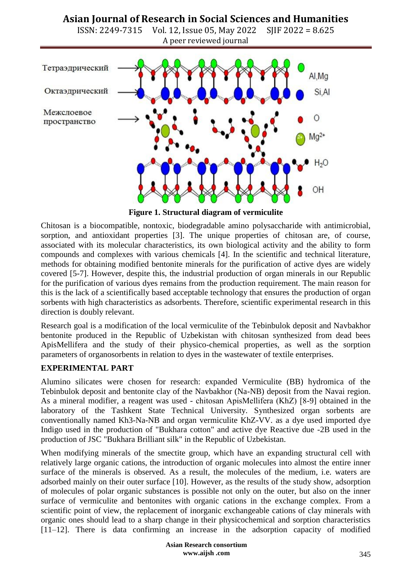ISSN: 2249-7315 Vol. 12, Issue 05, May 2022 SJIF 2022 = 8.625 A peer reviewed journal



**Figure 1. Structural diagram of vermiculite**

Chitosan is a biocompatible, nontoxic, biodegradable amino polysaccharide with antimicrobial, sorption, and antioxidant properties [3]. The unique properties of chitosan are, of course, associated with its molecular characteristics, its own biological activity and the ability to form compounds and complexes with various chemicals [4]. In the scientific and technical literature, methods for obtaining modified bentonite minerals for the purification of active dyes are widely covered [5-7]. However, despite this, the industrial production of organ minerals in our Republic for the purification of various dyes remains from the production requirement. The main reason for this is the lack of a scientifically based acceptable technology that ensures the production of organ sorbents with high characteristics as adsorbents. Therefore, scientific experimental research in this direction is doubly relevant.

Research goal is a modification of the local vermiculite of the Tebinbulok deposit and Navbakhor bentonite produced in the Republic of Uzbekistan with chitosan synthesized from dead bees ApisMellifera and the study of their physico-chemical properties, as well as the sorption parameters of organosorbents in relation to dyes in the wastewater of textile enterprises.

### **EXPERIMENTAL PART**

Alumino silicates were chosen for research: expanded Vermiculite (BB) hydromica of the Tebinbulok deposit and bentonite clay of the Navbakhor (Na-NB) deposit from the Navai region. As a mineral modifier, a reagent was used - chitosan АpisMellifera (KhZ) [8-9] obtained in the laboratory of the Tashkent State Technical University. Synthesized organ sorbents are conventionally named Kh3-Na-NB and organ vermiculite KhZ-VV. as a dye used imported dye Indigo used in the production of "Bukhara cotton" and active dye Reactive due -2B used in the production of JSC "Bukhara Brilliant silk" in the Republic of Uzbekistan.

When modifying minerals of the smectite group, which have an expanding structural cell with relatively large organic cations, the introduction of organic molecules into almost the entire inner surface of the minerals is observed. As a result, the molecules of the medium, i.e. waters are adsorbed mainly on their outer surface [10]. However, as the results of the study show, adsorption of molecules of polar organic substances is possible not only on the outer, but also on the inner surface of vermiculite and bentonites with organic cations in the exchange complex. From a scientific point of view, the replacement of inorganic exchangeable cations of clay minerals with organic ones should lead to a sharp change in their physicochemical and sorption characteristics [11–12]. There is data confirming an increase in the adsorption capacity of modified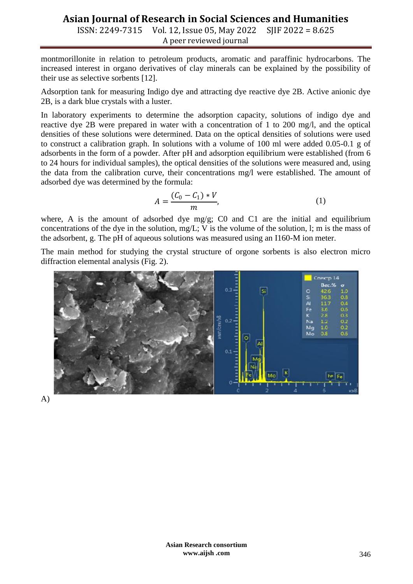ISSN: 2249-7315 Vol. 12, Issue 05, May 2022 SJIF 2022 = 8.625 A peer reviewed journal

montmorillonite in relation to petroleum products, aromatic and paraffinic hydrocarbons. The increased interest in organo derivatives of clay minerals can be explained by the possibility of their use as selective sorbents [12].

Adsorption tank for measuring Indigo dye and attracting dye reactive dye 2B. Active anionic dye 2B, is a dark blue crystals with a luster.

In laboratory experiments to determine the adsorption capacity, solutions of indigo dye and reactive dye 2B were prepared in water with a concentration of 1 to 200 mg/l, and the optical densities of these solutions were determined. Data on the optical densities of solutions were used to construct a calibration graph. In solutions with a volume of 100 ml were added 0.05-0.1 g of adsorbents in the form of a powder. After pH and adsorption equilibrium were established (from 6 to 24 hours for individual samples), the optical densities of the solutions were measured and, using the data from the calibration curve, their concentrations mg/l were established. The amount of adsorbed dye was determined by the formula:

$$
A = \frac{(C_0 - C_1) * V}{m},\tag{1}
$$

where, A is the amount of adsorbed dye mg/g; C0 and C1 are the initial and equilibrium concentrations of the dye in the solution, mg/L; V is the volume of the solution, l; m is the mass of the adsorbent, g. The pH of aqueous solutions was measured using an I160-M ion meter.

The main method for studying the crystal structure of orgone sorbents is also electron micro diffraction elemental analysis (Fig. 2).



A)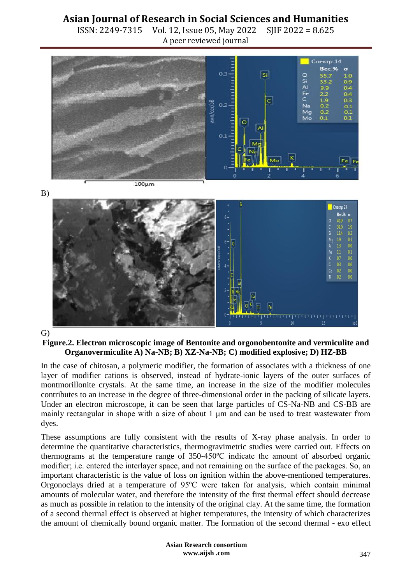ISSN: 2249-7315 Vol. 12, Issue 05, May 2022 SJIF 2022 = 8.625 A peer reviewed journal



#### G)

#### **Figure.2. Electron microscopic image of Bentonite and orgonobentonite and vermiculite and Organovermiculite A) Na-NB; B) XZ-Na-NB; C) modified explosive; D) HZ-BB**

In the case of chitosan, a polymeric modifier, the formation of associates with a thickness of one layer of modifier cations is observed, instead of hydrate-ionic layers of the outer surfaces of montmorillonite crystals. At the same time, an increase in the size of the modifier molecules contributes to an increase in the degree of three-dimensional order in the packing of silicate layers. Under an electron microscope, it can be seen that large particles of CS-Na-NB and CS-BB are mainly rectangular in shape with a size of about 1 μm and can be used to treat wastewater from dyes.

These assumptions are fully consistent with the results of X-ray phase analysis. In order to determine the quantitative characteristics, thermogravimetric studies were carried out. Effects on thermograms at the temperature range of 350-450ºС indicate the amount of absorbed organic modifier; i.е. entered the interlayer space, and not remaining on the surface of the packages. So, an important characteristic is the value of loss on ignition within the above-mentioned temperatures. Orgonoclays dried at a temperature of 95ºС were taken for analysis, which contain minimal amounts of molecular water, and therefore the intensity of the first thermal effect should decrease as much as possible in relation to the intensity of the original clay. At the same time, the formation of a second thermal effect is observed at higher temperatures, the intensity of which characterizes the amount of chemically bound organic matter. The formation of the second thermal - exo effect

> **Asian Research consortium www.aijsh .com**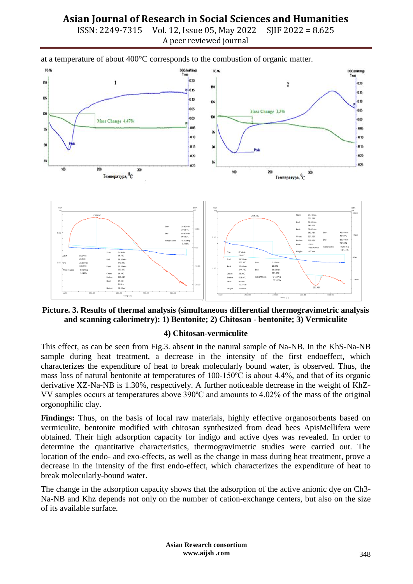ISSN: 2249-7315 Vol. 12, Issue 05, May 2022 SJIF 2022 = 8.625 A peer reviewed journal



# at a temperature of about 400°C corresponds to the combustion of organic matter.



### **4) Chitosan-vermiculite**

This effect, as can be seen from Fig.3. absent in the natural sample of Na-NB. In the KhS-Na-NB sample during heat treatment, a decrease in the intensity of the first endoeffect, which characterizes the expenditure of heat to break molecularly bound water, is observed. Thus, the mass loss of natural bentonite at temperatures of 100-150ºС is about 4.4%, and that of its organic derivative XZ-Na-NB is 1.30%, respectively. A further noticeable decrease in the weight of KhZ-VV samples occurs at temperatures above 390ºС and amounts to 4.02% of the mass of the original orgonophilic clay.

**Findings:** Thus, on the basis of local raw materials, highly effective organosorbents based on vermiculite, bentonite modified with chitosan synthesized from dead bees ApisMellifera were obtained. Their high adsorption capacity for indigo and active dyes was revealed. In order to determine the quantitative characteristics, thermogravimetric studies were carried out. The location of the endo- and exo-effects, as well as the change in mass during heat treatment, prove a decrease in the intensity of the first endo-effect, which characterizes the expenditure of heat to break molecularly-bound water.

The change in the adsorption capacity shows that the adsorption of the active anionic dye on Ch3- Na-NB and Khz depends not only on the number of cation-exchange centers, but also on the size of its available surface.